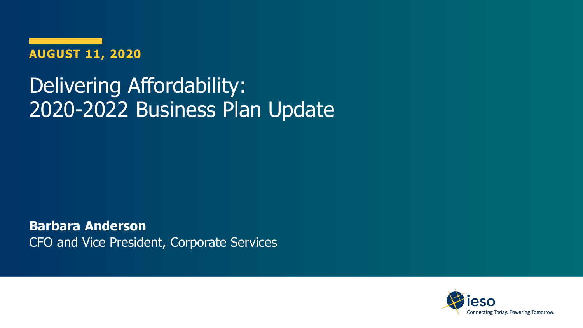**AUGUST 11, 2020**

### Delivering Affordability: 2020-2022 Business Plan Update

**Barbara Anderson**  CFO and Vice President, Corporate Services

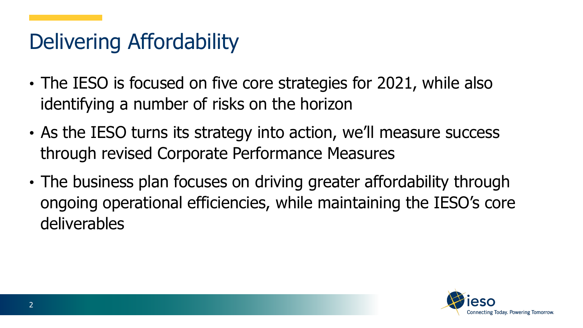### Delivering Affordability

- The IESO is focused on five core strategies for 2021, while also identifying a number of risks on the horizon
- As the IESO turns its strategy into action, we'll measure success through revised Corporate Performance Measures
- The business plan focuses on driving greater affordability through ongoing operational efficiencies, while maintaining the IESO's core deliverables

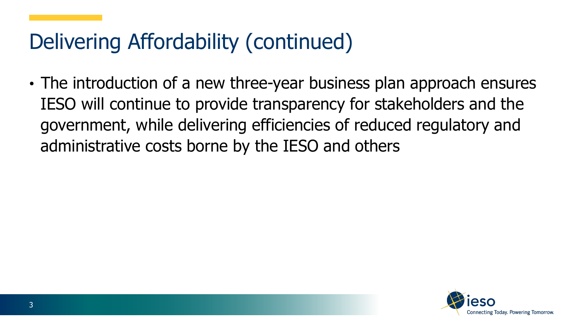### Delivering Affordability (continued)

• The introduction of a new three-year business plan approach ensures IESO will continue to provide transparency for stakeholders and the government, while delivering efficiencies of reduced regulatory and administrative costs borne by the IESO and others

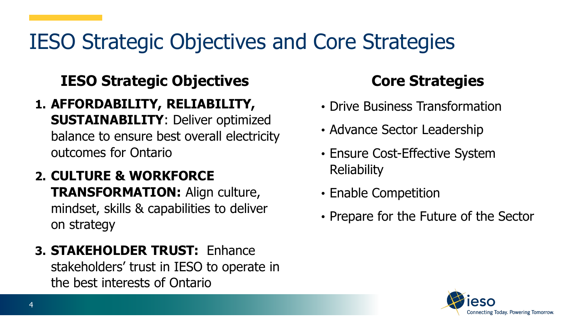### IESO Strategic Objectives and Core Strategies

### **IESO Strategic Objectives**

- **1. AFFORDABILITY, RELIABILITY, SUSTAINABILITY**: Deliver optimized balance to ensure best overall electricity outcomes for Ontario
- **2. CULTURE & WORKFORCE TRANSFORMATION:** Align culture, mindset, skills & capabilities to deliver on strategy
- **3. STAKEHOLDER TRUST:** Enhance stakeholders' trust in IESO to operate in the best interests of Ontario

### **Core Strategies**

- Drive Business Transformation
- Advance Sector Leadership
- Ensure Cost-Effective System Reliability
- Enable Competition
- Prepare for the Future of the Sector

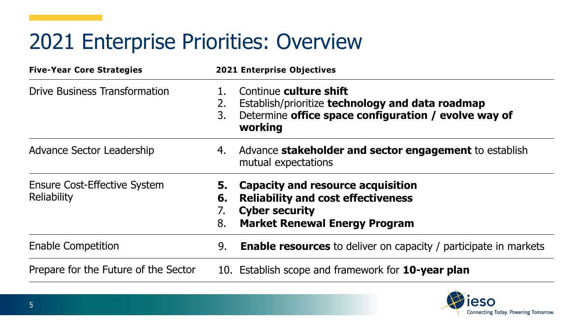### 2021 Enterprise Priorities: Overview

| <b>Five-Year Core Strategies</b>                   | <b>2021 Enterprise Objectives</b>                                                                                                                                 |
|----------------------------------------------------|-------------------------------------------------------------------------------------------------------------------------------------------------------------------|
| <b>Drive Business Transformation</b>               | Continue culture shift<br>Establish/prioritize technology and data roadmap<br>2.<br>Determine office space configuration / evolve way of<br>3.<br>working         |
| Advance Sector Leadership                          | Advance <b>stakeholder and sector engagement</b> to establish<br>4.<br>mutual expectations                                                                        |
| <b>Ensure Cost-Effective System</b><br>Reliability | Capacity and resource acquisition<br>5.<br><b>Reliability and cost effectiveness</b><br>6.<br><b>Cyber security</b><br><b>Market Renewal Energy Program</b><br>8. |
| <b>Enable Competition</b>                          | <b>Enable resources</b> to deliver on capacity / participate in markets<br>9.                                                                                     |
| Prepare for the Future of the Sector               | 10. Establish scope and framework for <b>10-year plan</b>                                                                                                         |

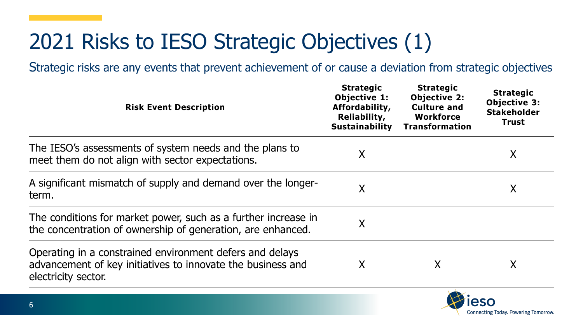# 2021 Risks to IESO Strategic Objectives (1)

| <b>Risk Event Description</b>                                                                                                                  | <b>Strategic</b><br><b>Objective 1:</b><br>Affordability,<br>Reliability,<br><b>Sustainability</b> | <b>Strategic</b><br><b>Objective 2:</b><br><b>Culture and</b><br>Workforce<br><b>Transformation</b> | <b>Strategic</b><br><b>Objective 3:</b><br><b>Stakeholder</b><br><b>Trust</b> |
|------------------------------------------------------------------------------------------------------------------------------------------------|----------------------------------------------------------------------------------------------------|-----------------------------------------------------------------------------------------------------|-------------------------------------------------------------------------------|
| The IESO's assessments of system needs and the plans to<br>meet them do not align with sector expectations.                                    | X                                                                                                  |                                                                                                     | X                                                                             |
| A significant mismatch of supply and demand over the longer-<br>term.                                                                          | Χ                                                                                                  |                                                                                                     | X                                                                             |
| The conditions for market power, such as a further increase in<br>the concentration of ownership of generation, are enhanced.                  | Χ                                                                                                  |                                                                                                     |                                                                               |
| Operating in a constrained environment defers and delays<br>advancement of key initiatives to innovate the business and<br>electricity sector. | Χ                                                                                                  | X                                                                                                   | Χ                                                                             |

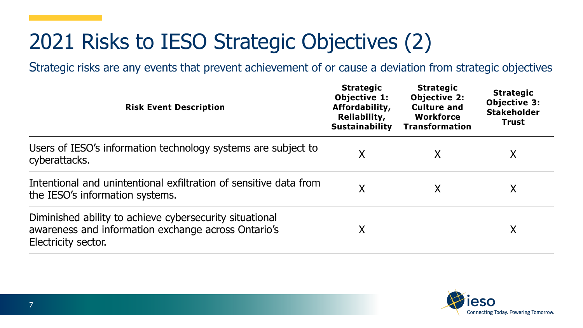# 2021 Risks to IESO Strategic Objectives (2)

| <b>Risk Event Description</b>                                                                                                         | <b>Strategic</b><br><b>Objective 1:</b><br>Affordability,<br>Reliability,<br><b>Sustainability</b> | <b>Strategic</b><br><b>Objective 2:</b><br><b>Culture and</b><br><b>Workforce</b><br><b>Transformation</b> | <b>Strategic</b><br><b>Objective 3:</b><br><b>Stakeholder</b><br><b>Trust</b> |
|---------------------------------------------------------------------------------------------------------------------------------------|----------------------------------------------------------------------------------------------------|------------------------------------------------------------------------------------------------------------|-------------------------------------------------------------------------------|
| Users of IESO's information technology systems are subject to<br>cyberattacks.                                                        | Χ                                                                                                  | χ                                                                                                          | X                                                                             |
| Intentional and unintentional exfiltration of sensitive data from<br>the IESO's information systems.                                  | Χ                                                                                                  | X                                                                                                          | Χ                                                                             |
| Diminished ability to achieve cybersecurity situational<br>awareness and information exchange across Ontario's<br>Electricity sector. | Χ                                                                                                  |                                                                                                            | Χ                                                                             |

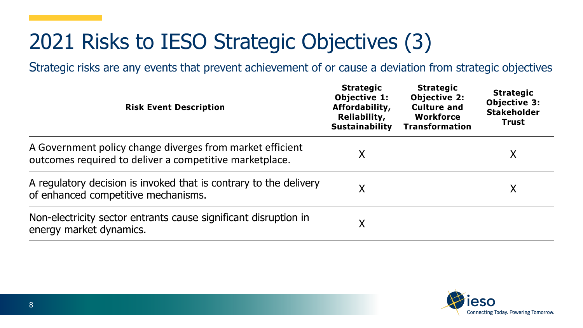# 2021 Risks to IESO Strategic Objectives (3)

| <b>Risk Event Description</b>                                                                                        | <b>Strategic</b><br><b>Objective 1:</b><br>Affordability,<br>Reliability,<br><b>Sustainability</b> | <b>Strategic</b><br><b>Objective 2:</b><br><b>Culture and</b><br><b>Workforce</b><br><b>Transformation</b> | <b>Strategic</b><br>Objective 3:<br><b>Stakeholder</b><br>Trust |
|----------------------------------------------------------------------------------------------------------------------|----------------------------------------------------------------------------------------------------|------------------------------------------------------------------------------------------------------------|-----------------------------------------------------------------|
| A Government policy change diverges from market efficient<br>outcomes required to deliver a competitive marketplace. | Χ                                                                                                  |                                                                                                            | X                                                               |
| A regulatory decision is invoked that is contrary to the delivery<br>of enhanced competitive mechanisms.             | Χ                                                                                                  |                                                                                                            | Χ                                                               |
| Non-electricity sector entrants cause significant disruption in<br>energy market dynamics.                           | Χ                                                                                                  |                                                                                                            |                                                                 |

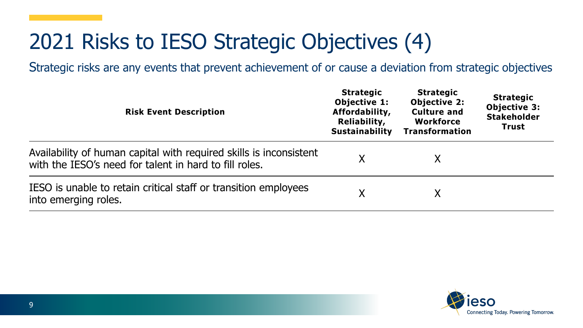### 2021 Risks to IESO Strategic Objectives (4)

| <b>Risk Event Description</b>                                                                                                | <b>Strategic</b><br>Objective 1:<br>Affordability,<br>Reliability,<br><b>Sustainability</b> | <b>Strategic</b><br><b>Objective 2:</b><br><b>Culture and</b><br><b>Workforce</b><br><b>Transformation</b> | <b>Strategic</b><br>Objective 3:<br><b>Stakeholder</b><br>Trust |
|------------------------------------------------------------------------------------------------------------------------------|---------------------------------------------------------------------------------------------|------------------------------------------------------------------------------------------------------------|-----------------------------------------------------------------|
| Availability of human capital with required skills is inconsistent<br>with the IESO's need for talent in hard to fill roles. | Χ                                                                                           |                                                                                                            |                                                                 |
| IESO is unable to retain critical staff or transition employees<br>into emerging roles.                                      |                                                                                             |                                                                                                            |                                                                 |

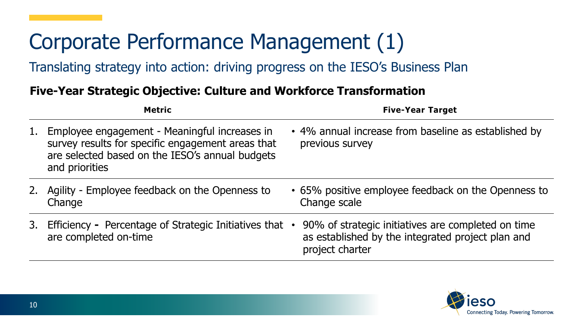### Corporate Performance Management (1)

Translating strategy into action: driving progress on the IESO's Business Plan

#### **Five-Year Strategic Objective: Culture and Workforce Transformation**

|    | <b>Metric</b>                                                                                                                                                           | <b>Five-Year Target</b>                                                                                                    |
|----|-------------------------------------------------------------------------------------------------------------------------------------------------------------------------|----------------------------------------------------------------------------------------------------------------------------|
| 1. | Employee engagement - Meaningful increases in<br>survey results for specific engagement areas that<br>are selected based on the IESO's annual budgets<br>and priorities | • 4% annual increase from baseline as established by<br>previous survey                                                    |
|    | 2. Agility - Employee feedback on the Openness to<br>Change                                                                                                             | • 65% positive employee feedback on the Openness to<br>Change scale                                                        |
| 3. | Efficiency - Percentage of Strategic Initiatives that .<br>are completed on-time                                                                                        | 90% of strategic initiatives are completed on time<br>as established by the integrated project plan and<br>project charter |

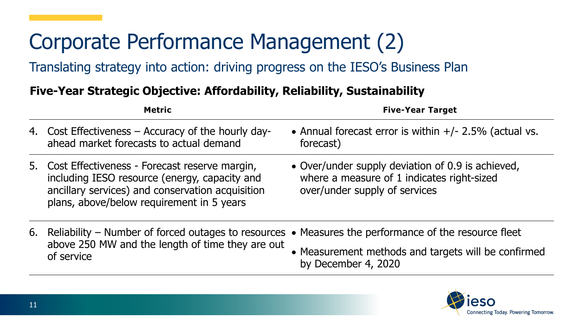# Corporate Performance Management (2)

Translating strategy into action: driving progress on the IESO's Business Plan

#### **Five-Year Strategic Objective: Affordability, Reliability, Sustainability**

| <b>Metric</b>                                                                                                                                                                                      | <b>Five-Year Target</b>                                                                                                          |
|----------------------------------------------------------------------------------------------------------------------------------------------------------------------------------------------------|----------------------------------------------------------------------------------------------------------------------------------|
| 4. Cost Effectiveness – Accuracy of the hourly day-<br>ahead market forecasts to actual demand                                                                                                     | • Annual forecast error is within $+/- 2.5\%$ (actual vs.<br>forecast)                                                           |
| 5. Cost Effectiveness - Forecast reserve margin,<br>including IESO resource (energy, capacity and<br>ancillary services) and conservation acquisition<br>plans, above/below requirement in 5 years | • Over/under supply deviation of 0.9 is achieved,<br>where a measure of 1 indicates right-sized<br>over/under supply of services |
| 6. Reliability – Number of forced outages to resources $\bullet$ Measures the performance of the resource fleet<br>above 250 MW and the length of time they are out<br>of service                  | • Measurement methods and targets will be confirmed<br>by December 4, 2020                                                       |

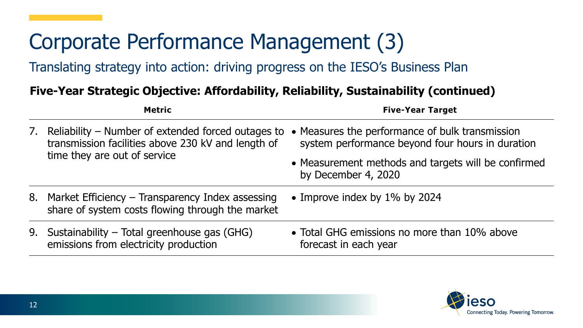### Corporate Performance Management (3)

Translating strategy into action: driving progress on the IESO's Business Plan

#### **Five-Year Strategic Objective: Affordability, Reliability, Sustainability (continued)**

|    | <b>Metric</b>                                                                                                                            | <b>Five-Year Target</b>                                                                             |
|----|------------------------------------------------------------------------------------------------------------------------------------------|-----------------------------------------------------------------------------------------------------|
| 7. | Reliability - Number of extended forced outages to<br>transmission facilities above 230 kV and length of<br>time they are out of service | • Measures the performance of bulk transmission<br>system performance beyond four hours in duration |
|    |                                                                                                                                          | • Measurement methods and targets will be confirmed<br>by December 4, 2020                          |
| 8. | Market Efficiency – Transparency Index assessing<br>share of system costs flowing through the market                                     | • Improve index by 1% by 2024                                                                       |
|    | 9. Sustainability - Total greenhouse gas (GHG)<br>emissions from electricity production                                                  | • Total GHG emissions no more than 10% above<br>forecast in each year                               |

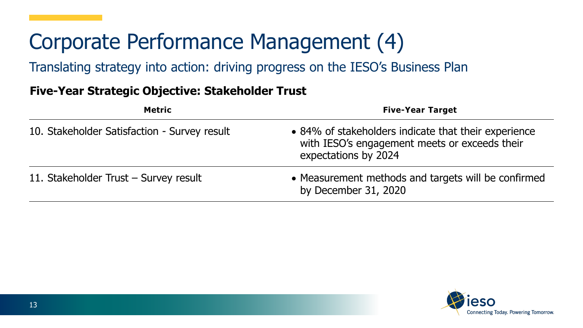### Corporate Performance Management (4)

Translating strategy into action: driving progress on the IESO's Business Plan

#### **Five-Year Strategic Objective: Stakeholder Trust**

| <b>Metric</b>                                | <b>Five-Year Target</b>                                                                                                       |
|----------------------------------------------|-------------------------------------------------------------------------------------------------------------------------------|
| 10. Stakeholder Satisfaction - Survey result | • 84% of stakeholders indicate that their experience<br>with IESO's engagement meets or exceeds their<br>expectations by 2024 |
| 11. Stakeholder Trust - Survey result        | • Measurement methods and targets will be confirmed<br>by December 31, 2020                                                   |

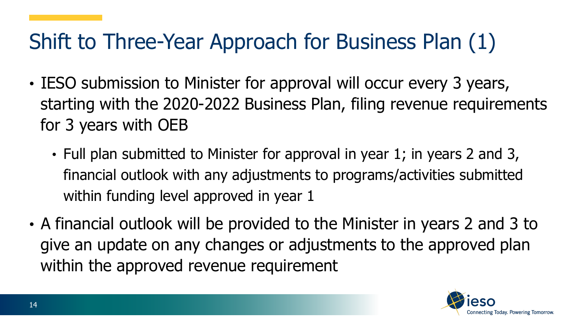### Shift to Three-Year Approach for Business Plan (1)

- IESO submission to Minister for approval will occur every 3 years, starting with the 2020-2022 Business Plan, filing revenue requirements for 3 years with OEB
	- Full plan submitted to Minister for approval in year 1; in years 2 and 3, financial outlook with any adjustments to programs/activities submitted within funding level approved in year 1
- A financial outlook will be provided to the Minister in years 2 and 3 to give an update on any changes or adjustments to the approved plan within the approved revenue requirement

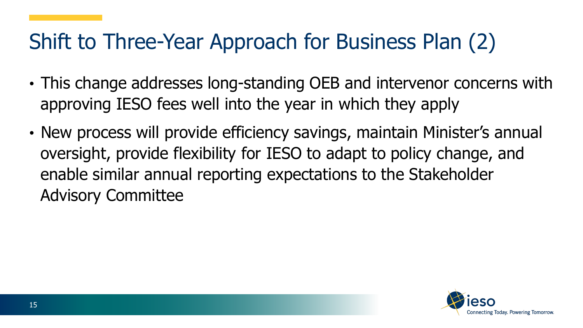### Shift to Three-Year Approach for Business Plan (2)

- This change addresses long-standing OEB and intervenor concerns with approving IESO fees well into the year in which they apply
- New process will provide efficiency savings, maintain Minister's annual oversight, provide flexibility for IESO to adapt to policy change, and enable similar annual reporting expectations to the Stakeholder Advisory Committee

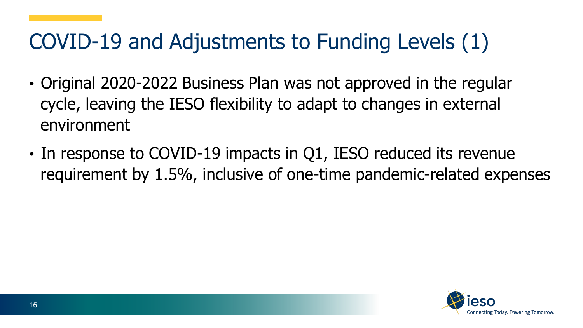### COVID-19 and Adjustments to Funding Levels (1)

- Original 2020-2022 Business Plan was not approved in the regular cycle, leaving the IESO flexibility to adapt to changes in external environment
- In response to COVID-19 impacts in Q1, IESO reduced its revenue requirement by 1.5%, inclusive of one-time pandemic-related expenses